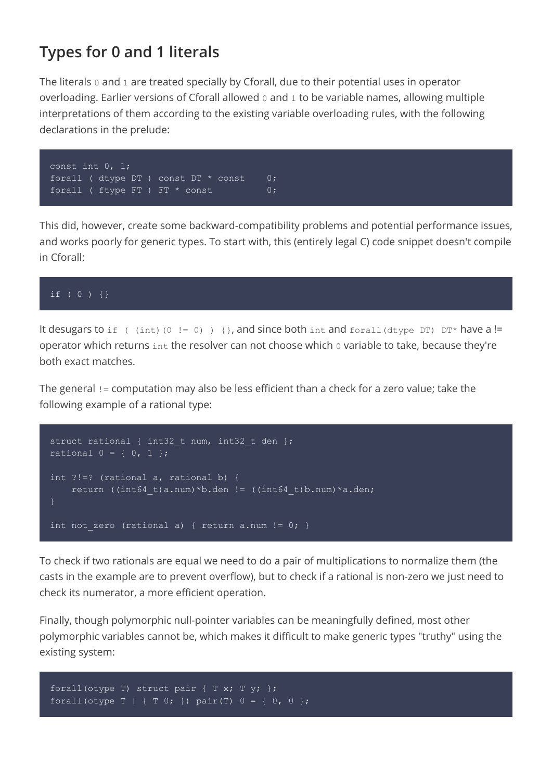## **Types for 0 and 1 literals**

The literals 0 and 1 are treated specially by Cforall, due to their potential uses in operator overloading. Earlier versions of Cforall allowed 0 and 1 to be variable names, allowing multiple interpretations of them according to the existing variable overloading rules, with the following declarations in the prelude:



This did, however, create some backward-compatibility problems and potential performance issues, and works poorly for generic types. To start with, this (entirely legal C) code snippet doesn't compile in Cforall:

## if ( 0 ) {}

It desugars to if ( (int)(0 != 0)) { }, and since both int and forall(dtype DT) DT\* have a != operator which returns int the resolver can not choose which 0 variable to take, because they're both exact matches.

The general != computation may also be less efficient than a check for a zero value; take the following example of a rational type:

```
struct rational { int32 t num, int32 t den };
rational 0 = \{ 0, 1 \};
int ?!=? (rational a, rational b) {
    return ((int64_t)a.num)*b.den != ((int64_t)b.num)*a.den;
int not zero (rational a) { return a.num != 0; }
```
To check if two rationals are equal we need to do a pair of multiplications to normalize them (the casts in the example are to prevent overflow), but to check if a rational is non-zero we just need to check its numerator, a more efficient operation.

Finally, though polymorphic null-pointer variables can be meaningfully defined, most other polymorphic variables cannot be, which makes it difficult to make generic types "truthy" using the existing system:

```
forall(otype T) struct pair { T x; T y; };
forall(otype T | { T 0; }) pair(T) 0 = { 0, 0 };
```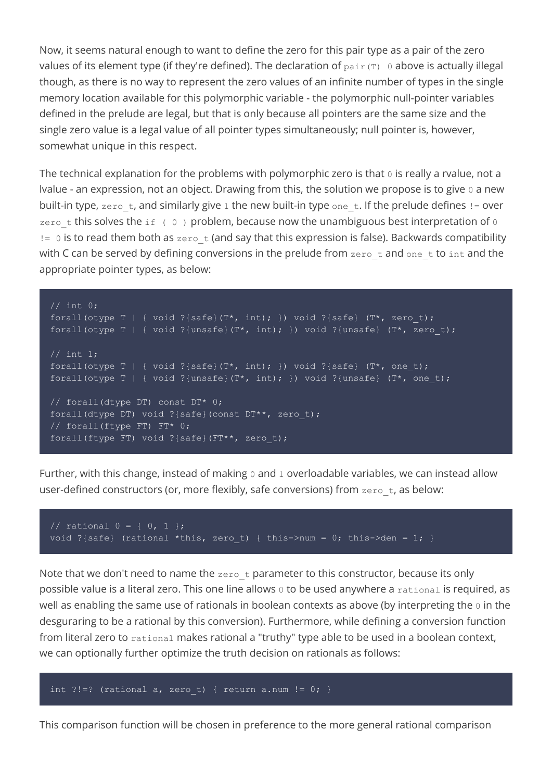Now, it seems natural enough to want to define the zero for this pair type as a pair of the zero values of its element type (if they're defined). The declaration of  $pair(T)$  0 above is actually illegal though, as there is no way to represent the zero values of an infinite number of types in the single memory location available for this polymorphic variable - the polymorphic null-pointer variables defined in the prelude are legal, but that is only because all pointers are the same size and the single zero value is a legal value of all pointer types simultaneously; null pointer is, however, somewhat unique in this respect.

The technical explanation for the problems with polymorphic zero is that  $\sigma$  is really a rvalue, not a lvalue - an expression, not an object. Drawing from this, the solution we propose is to give 0 a new built-in type, zero t, and similarly give 1 the new built-in type one t. If the prelude defines  $!=$  over zero t this solves the if (  $0$  ) problem, because now the unambiguous best interpretation of  $0$  $!=$  0 is to read them both as  $zero-t$  (and say that this expression is false). Backwards compatibility with C can be served by defining conversions in the prelude from  $zero\ t$  and one  $t$  to  $int$  and the appropriate pointer types, as below:

```
// int 0;
forall(otype T | { void ?{safe}(T^*, int); }) void ?{safe} (T^*, zero_t);
forall(otype T | { void ?{unsafe}(T*, int); }) void ?{unsafe} (T*, zero t);
// int 1;
forall(otype T | { void ?{safe}(T*, int); }) void ?{safe} (T*, one t);
forall(otype T | { void ?{unsafe}(T*, int); }) void ?{unsafe} (T*, one t);
// forall(dtype DT) const DT* 0;
forall(dtype DT) void ?{safe}(const DT**, zero t);
// forall(ftype FT) FT* 0;
forall(ftype FT) void ?{safe}(FT**, zero_t);
```
Further, with this change, instead of making  $0$  and  $1$  overloadable variables, we can instead allow user-defined constructors (or, more flexibly, safe conversions) from  $zero\ t$ , as below:

```
// rational 0 = \{ 0, 1 \};
void ?{safe} (rational *this, zero t) { this->num = 0; this->den = 1; }
```
Note that we don't need to name the  $zero\_t$  parameter to this constructor, because its only possible value is a literal zero. This one line allows 0 to be used anywhere a rational is required, as well as enabling the same use of rationals in boolean contexts as above (by interpreting the 0 in the desguraring to be a rational by this conversion). Furthermore, while defining a conversion function from literal zero to rational makes rational a "truthy" type able to be used in a boolean context, we can optionally further optimize the truth decision on rationals as follows:

```
int ?!=? (rational a, zero t) { return a.num != 0; }
```
This comparison function will be chosen in preference to the more general rational comparison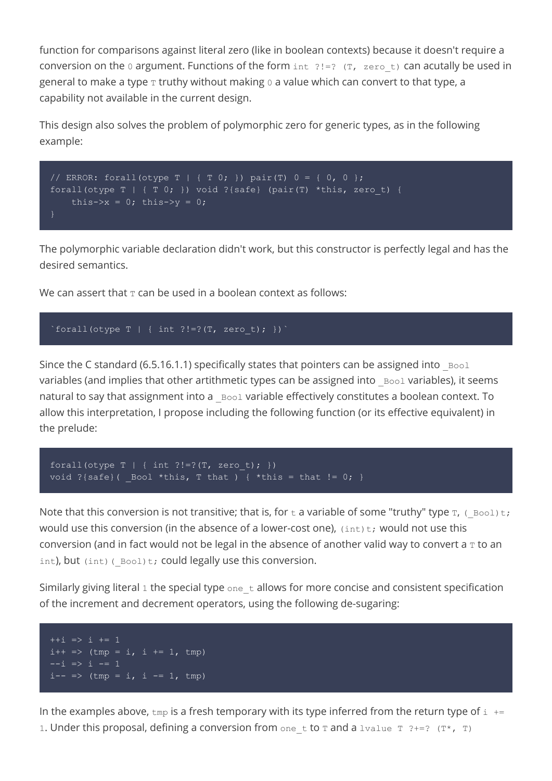function for comparisons against literal zero (like in boolean contexts) because it doesn't require a conversion on the  $0$  argument. Functions of the form  $int$   $?!=$ ? (T, zero t) can acutally be used in general to make a type  $\texttt{T}$  truthy without making 0 a value which can convert to that type, a capability not available in the current design.

This design also solves the problem of polymorphic zero for generic types, as in the following example:

```
// ERROR: forall(otype T | { T 0; }) pair(T) 0 = { 0, 0 };
forall(otype T | { T 0; }) void ?{safe} (pair(T) *this, zero t) {
    this->x = 0; this->y = 0;
```
The polymorphic variable declaration didn't work, but this constructor is perfectly legal and has the desired semantics.

We can assert that  $T$  can be used in a boolean context as follows:

```
\text{``forall (otype T)} { \text{ int } ?! = ? (T, zero_t); }
```
Since the C standard (6.5.16.1.1) specifically states that pointers can be assigned into  $Bool$ variables (and implies that other artithmetic types can be assigned into Bool variables), it seems natural to say that assignment into a  $_{\text{Bool}}$  variable effectively constitutes a boolean context. To allow this interpretation, I propose including the following function (or its effective equivalent) in the prelude:

```
forall(otype T | { int ?!=?(T, zero t); })
void ?{safe}( \boxed{\text{Bool} *this, T that ) { *this = that != 0; }
```
Note that this conversion is not transitive; that is, for  $t$  a variable of some "truthy" type  $T$ , ( $Bool$ ) $t$ ; would use this conversion (in the absence of a lower-cost one),  $(int)$ t; would not use this conversion (and in fact would not be legal in the absence of another valid way to convert a  $\texttt{\texttt{T}}$  to an int), but (int)( $Bool$ )t; could legally use this conversion.

Similarly giving literal 1 the special type one  $\pm$  allows for more concise and consistent specification of the increment and decrement operators, using the following de-sugaring:

 $++i$  => i += 1  $i++ \implies$  (tmp = i, i += 1, tmp)  $-i \Rightarrow i \Rightarrow 1$  $i-- \implies$  (tmp = i, i -= 1, tmp)

In the examples above,  $\text{tmp}$  is a fresh temporary with its type inferred from the return type of  $\text{i}$  += 1. Under this proposal, defining a conversion from one t to T and a lvalue  $T$  ?+=? (T\*, T)